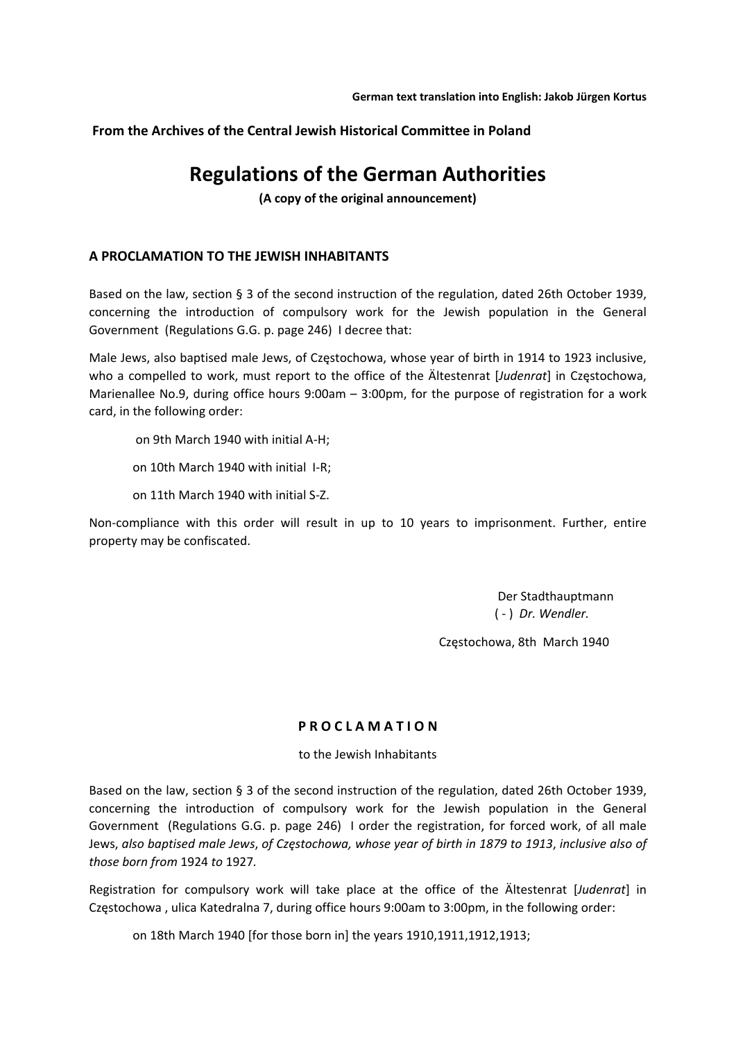**From the Archives of the Central Jewish Historical Committee in Poland**

# **Regulations of the German Authorities**

**(A copy of the original announcement)**

# **A PROCLAMATION TO THE JEWISH INHABITANTS**

Based on the law, section § 3 of the second instruction of the regulation, dated 26th October 1939, concerning the introduction of compulsory work for the Jewish population in the General Government (Regulations G.G. p. page 246) I decree that:

Male Jews, also baptised male Jews, of Częstochowa, whose year of birth in 1914 to 1923 inclusive, who a compelled to work, must report to the office of the Ältestenrat [*Judenrat*] in Częstochowa, Marienallee No.9, during office hours 9:00am – 3:00pm, for the purpose of registration for a work card, in the following order:

on 9th March 1940 with initial A‐H;

on 10th March 1940 with initial I‐R;

on 11th March 1940 with initial S‐Z.

Non-compliance with this order will result in up to 10 years to imprisonment. Further, entire property may be confiscated.

> Der Stadthauptmann ( ‐ ) *Dr. Wendler.*

Częstochowa, 8th March 1940

### **P R O C L A M A T I O N**

to the Jewish Inhabitants

Based on the law, section § 3 of the second instruction of the regulation, dated 26th October 1939, concerning the introduction of compulsory work for the Jewish population in the General Government (Regulations G.G. p. page 246) I order the registration, for forced work, of all male Jews, also baptised male Jews, of Częstochowa, whose year of birth in 1879 to 1913, inclusive also of *those born from* 1924 *to* 1927*.*

Registration for compulsory work will take place at the office of the Ältestenrat [*Judenrat*] in Częstochowa , ulica Katedralna 7, during office hours 9:00am to 3:00pm, in the following order:

on 18th March 1940 [for those born in] the years 1910,1911,1912,1913;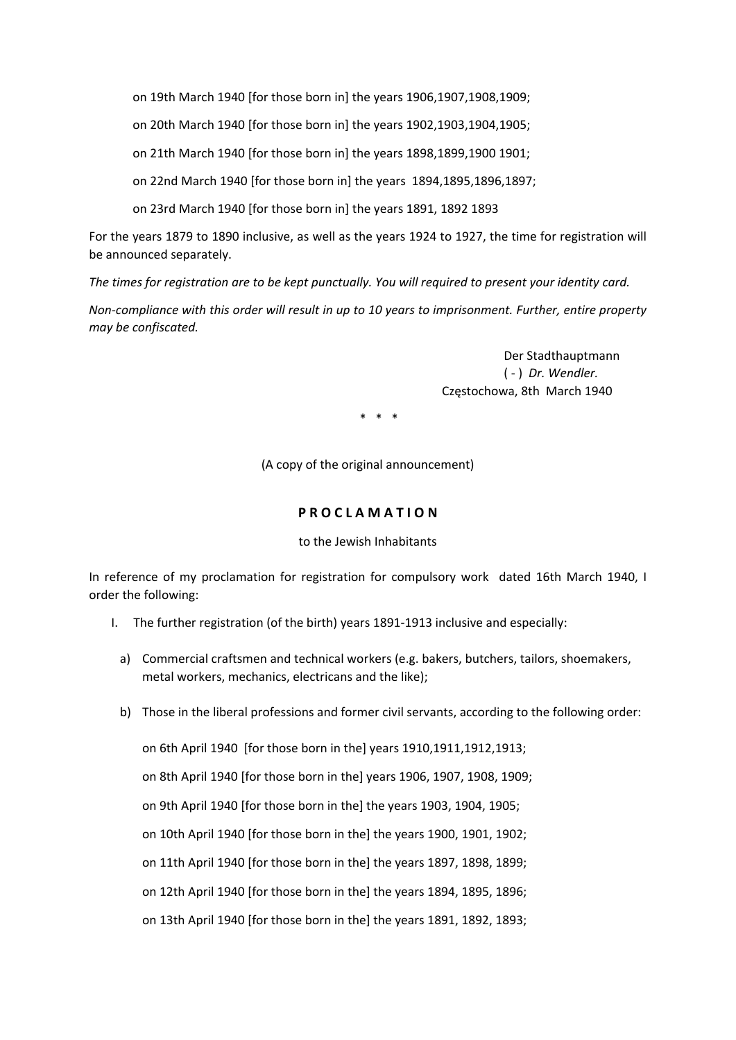on 19th March 1940 [for those born in] the years 1906,1907,1908,1909;

on 20th March 1940 [for those born in] the years 1902,1903,1904,1905;

on 21th March 1940 [for those born in] the years 1898,1899,1900 1901;

on 22nd March 1940 [for those born in] the years 1894,1895,1896,1897;

on 23rd March 1940 [for those born in] the years 1891, 1892 1893

For the years 1879 to 1890 inclusive, as well as the years 1924 to 1927, the time for registration will be announced separately.

*The times for registration are to be kept punctually. You will required to present your identity card.*

Non-compliance with this order will result in up to 10 years to imprisonment. Further, entire property *may be confiscated.* 

> Der Stadthauptmann ( ‐ ) *Dr. Wendler.* Częstochowa, 8th March 1940

 $*$   $*$ 

(A copy of the original announcement)

## **P R O C L A M A T I O N**

### to the Jewish Inhabitants

In reference of my proclamation for registration for compulsory work dated 16th March 1940, I order the following:

- I. The further registration (of the birth) years 1891‐1913 inclusive and especially:
- a) Commercial craftsmen and technical workers (e.g. bakers, butchers, tailors, shoemakers, metal workers, mechanics, electricans and the like);
- b) Those in the liberal professions and former civil servants, according to the following order:

on 6th April 1940 [for those born in the] years 1910,1911,1912,1913; on 8th April 1940 [for those born in the] years 1906, 1907, 1908, 1909; on 9th April 1940 [for those born in the] the years 1903, 1904, 1905; on 10th April 1940 [for those born in the] the years 1900, 1901, 1902; on 11th April 1940 [for those born in the] the years 1897, 1898, 1899; on 12th April 1940 [for those born in the] the years 1894, 1895, 1896; on 13th April 1940 [for those born in the] the years 1891, 1892, 1893;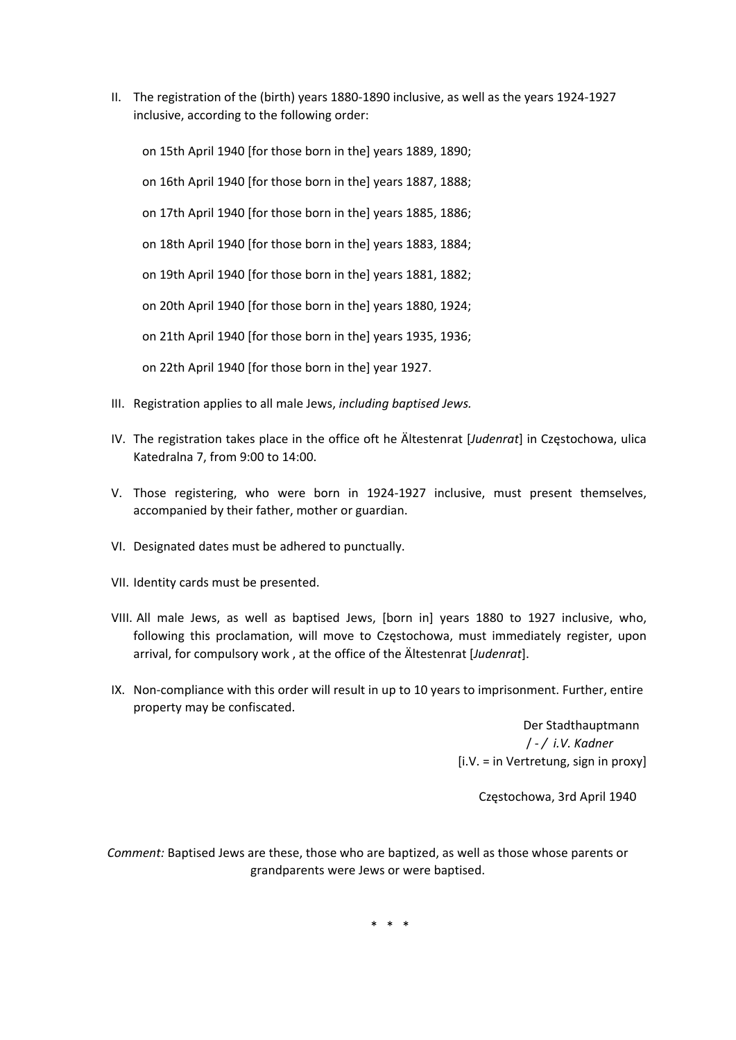II. The registration of the (birth) years 1880‐1890 inclusive, as well as the years 1924‐1927 inclusive, according to the following order:

on 15th April 1940 [for those born in the] years 1889, 1890;

on 16th April 1940 [for those born in the] years 1887, 1888;

on 17th April 1940 [for those born in the] years 1885, 1886;

on 18th April 1940 [for those born in the] years 1883, 1884;

on 19th April 1940 [for those born in the] years 1881, 1882;

on 20th April 1940 [for those born in the] years 1880, 1924;

on 21th April 1940 [for those born in the] years 1935, 1936;

on 22th April 1940 [for those born in the] year 1927.

- III. Registration applies to all male Jews, *including baptised Jews.*
- IV. The registration takes place in the office oft he Ältestenrat [*Judenrat*] in Częstochowa, ulica Katedralna 7, from 9:00 to 14:00.
- V. Those registering, who were born in 1924‐1927 inclusive, must present themselves, accompanied by their father, mother or guardian.
- VI. Designated dates must be adhered to punctually.
- VII. Identity cards must be presented.
- VIII. All male Jews, as well as baptised Jews, [born in] years 1880 to 1927 inclusive, who, following this proclamation, will move to Częstochowa, must immediately register, upon arrival, for compulsory work , at the office of the Ältestenrat [*Judenrat*].
- IX. Non‐compliance with this order will result in up to 10 years to imprisonment. Further, entire property may be confiscated.

 Der Stadthauptmann / ‐ */ i.V. Kadner* [i.V. = in Vertretung, sign in proxy]

Częstochowa, 3rd April 1940

*Comment:* Baptised Jews are these, those who are baptized, as well as those whose parents or grandparents were Jews or were baptised.

\* \* \*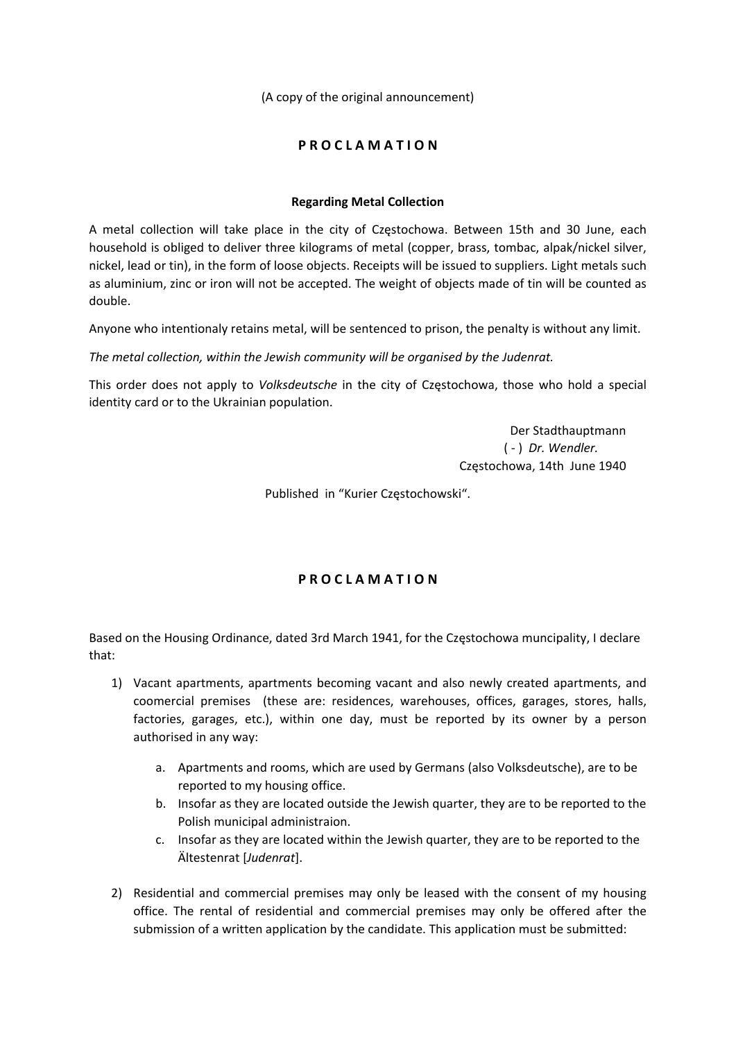(A copy of the original announcement)

# **P R O C L A M A T I O N**

## **Regarding Metal Collection**

A metal collection will take place in the city of Częstochowa. Between 15th and 30 June, each household is obliged to deliver three kilograms of metal (copper, brass, tombac, alpak/nickel silver, nickel, lead or tin), in the form of loose objects. Receipts will be issued to suppliers. Light metals such as aluminium, zinc or iron will not be accepted. The weight of objects made of tin will be counted as double.

Anyone who intentionaly retains metal, will be sentenced to prison, the penalty is without any limit.

*The metal collection, within the Jewish community will be organised by the Judenrat.* 

This order does not apply to *Volksdeutsche* in the city of Częstochowa, those who hold a special identity card or to the Ukrainian population.

> Der Stadthauptmann ( ‐ ) *Dr. Wendler.* Częstochowa, 14th June 1940

Published in "Kurier Częstochowski".

# **P R O C L A M A T I O N**

Based on the Housing Ordinance, dated 3rd March 1941, for the Częstochowa muncipality, I declare that:

- 1) Vacant apartments, apartments becoming vacant and also newly created apartments, and coomercial premises (these are: residences, warehouses, offices, garages, stores, halls, factories, garages, etc.), within one day, must be reported by its owner by a person authorised in any way:
	- a. Apartments and rooms, which are used by Germans (also Volksdeutsche), are to be reported to my housing office.
	- b. Insofar as they are located outside the Jewish quarter, they are to be reported to the Polish municipal administraion.
	- c. Insofar as they are located within the Jewish quarter, they are to be reported to the Ältestenrat [*Judenrat*].
- 2) Residential and commercial premises may only be leased with the consent of my housing office. The rental of residential and commercial premises may only be offered after the submission of a written application by the candidate. This application must be submitted: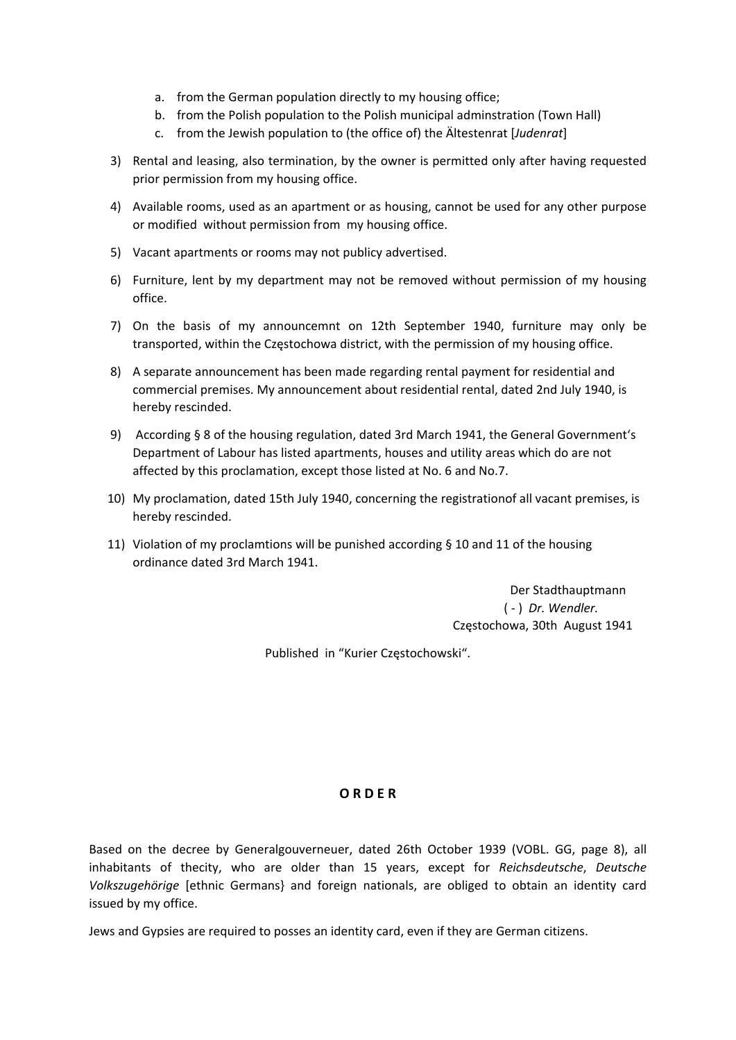- a. from the German population directly to my housing office;
- b. from the Polish population to the Polish municipal adminstration (Town Hall)
- c. from the Jewish population to (the office of) the Ältestenrat [*Judenrat*]
- 3) Rental and leasing, also termination, by the owner is permitted only after having requested prior permission from my housing office.
- 4) Available rooms, used as an apartment or as housing, cannot be used for any other purpose or modified without permission from my housing office.
- 5) Vacant apartments or rooms may not publicy advertised.
- 6) Furniture, lent by my department may not be removed without permission of my housing office.
- 7) On the basis of my announcemnt on 12th September 1940, furniture may only be transported, within the Częstochowa district, with the permission of my housing office.
- 8) A separate announcement has been made regarding rental payment for residential and commercial premises. My announcement about residential rental, dated 2nd July 1940, is hereby rescinded.
- 9) According § 8 of the housing regulation, dated 3rd March 1941, the General Government's Department of Labour has listed apartments, houses and utility areas which do are not affected by this proclamation, except those listed at No. 6 and No.7.
- 10) My proclamation, dated 15th July 1940, concerning the registrationof all vacant premises, is hereby rescinded.
- 11) Violation of my proclamtions will be punished according § 10 and 11 of the housing ordinance dated 3rd March 1941.

 Der Stadthauptmann ( ‐ ) *Dr. Wendler.* Częstochowa, 30th August 1941

Published in "Kurier Częstochowski".

### **O R D E R**

Based on the decree by Generalgouverneuer, dated 26th October 1939 (VOBL. GG, page 8), all inhabitants of thecity, who are older than 15 years, except for *Reichsdeutsche*, *Deutsche Volkszugehörige* [ethnic Germans} and foreign nationals, are obliged to obtain an identity card issued by my office.

Jews and Gypsies are required to posses an identity card, even if they are German citizens.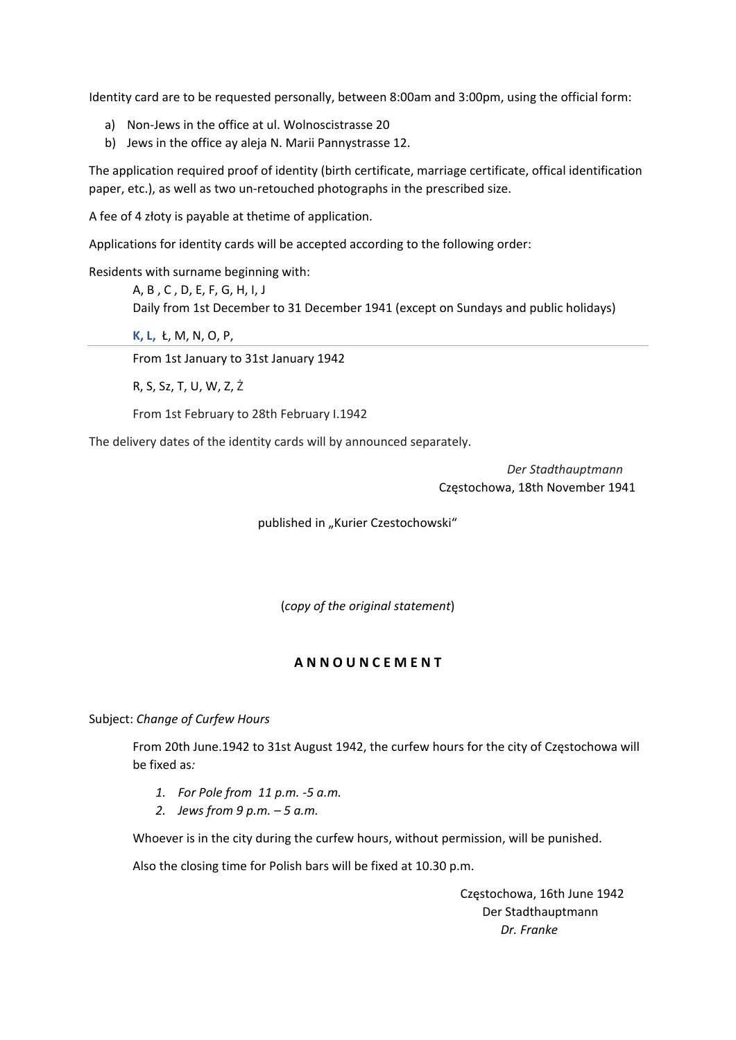Identity card are to be requested personally, between 8:00am and 3:00pm, using the official form:

- a) Non‐Jews in the office at ul. Wolnoscistrasse 20
- b) Jews in the office ay aleja N. Marii Pannystrasse 12.

The application required proof of identity (birth certificate, marriage certificate, offical identification paper, etc.), as well as two un‐retouched photographs in the prescribed size.

A fee of 4 złoty is payable at thetime of application.

Applications for identity cards will be accepted according to the following order:

Residents with surname beginning with:

A, B , C , D, E, F, G, H, I, J Daily from 1st December to 31 December 1941 (except on Sundays and public holidays)

**K, L,** Ł, M, N, O, P,

From 1st January to 31st January 1942

R, S, Sz, T, U, W, Z, Ż

From 1st February to 28th February I.1942

The delivery dates of the identity cards will by announced separately.

 *Der Stadthauptmann* Częstochowa, 18th November 1941

published in "Kurier Czestochowski"

(*copy of the original statement*)

# **A N N O U N C E M E N T**

Subject: *Change of Curfew Hours*

From 20th June.1942 to 31st August 1942, the curfew hours for the city of Częstochowa will be fixed as*:*

- *1. For Pole from 11 p.m. ‐5 a.m.*
- *2. Jews from 9 p.m. – 5 a.m.*

Whoever is in the city during the curfew hours, without permission, will be punished.

Also the closing time for Polish bars will be fixed at 10.30 p.m.

 Częstochowa, 16th June 1942 Der Stadthauptmann  *Dr. Franke*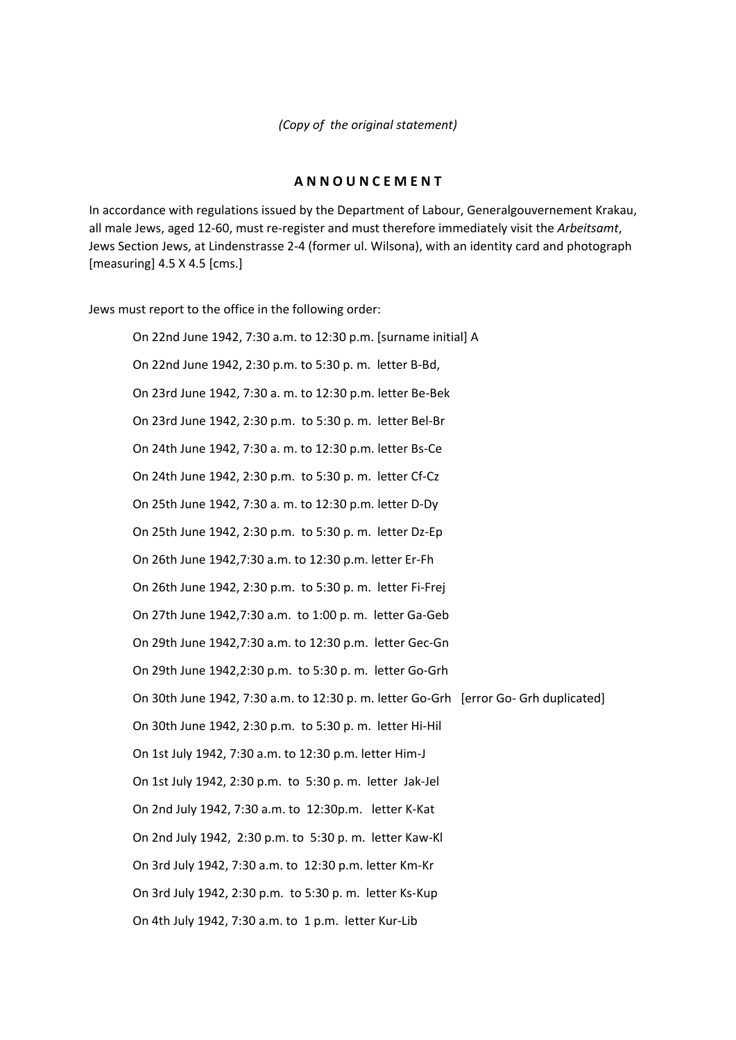*(Copy of the original statement)*

### **A N N O U N C E M E N T**

In accordance with regulations issued by the Department of Labour, Generalgouvernement Krakau, all male Jews, aged 12‐60, must re‐register and must therefore immediately visit the *Arbeitsamt*, Jews Section Jews, at Lindenstrasse 2‐4 (former ul. Wilsona), with an identity card and photograph [measuring]  $4.5 \times 4.5$  [cms.]

Jews must report to the office in the following order:

On 22nd June 1942, 7:30 a.m. to 12:30 p.m. [surname initial] A On 22nd June 1942, 2:30 p.m. to 5:30 p. m. letter B‐Bd, On 23rd June 1942, 7:30 a. m. to 12:30 p.m. letter Be‐Bek On 23rd June 1942, 2:30 p.m. to 5:30 p. m. letter Bel‐Br On 24th June 1942, 7:30 a. m. to 12:30 p.m. letter Bs‐Ce On 24th June 1942, 2:30 p.m. to 5:30 p. m. letter Cf‐Cz On 25th June 1942, 7:30 a. m. to 12:30 p.m. letter D‐Dy On 25th June 1942, 2:30 p.m. to 5:30 p. m. letter Dz‐Ep On 26th June 1942,7:30 a.m. to 12:30 p.m. letter Er‐Fh On 26th June 1942, 2:30 p.m. to 5:30 p. m. letter Fi‐Frej On 27th June 1942,7:30 a.m. to 1:00 p. m. letter Ga‐Geb On 29th June 1942,7:30 a.m. to 12:30 p.m. letter Gec‐Gn On 29th June 1942,2:30 p.m. to 5:30 p. m. letter Go‐Grh On 30th June 1942, 7:30 a.m. to 12:30 p. m. letter Go‐Grh [error Go‐ Grh duplicated] On 30th June 1942, 2:30 p.m. to 5:30 p. m. letter Hi‐Hil On 1st July 1942, 7:30 a.m. to 12:30 p.m. letter Him‐J On 1st July 1942, 2:30 p.m. to 5:30 p. m. letter Jak‐Jel On 2nd July 1942, 7:30 a.m. to 12:30p.m. letter K‐Kat On 2nd July 1942, 2:30 p.m. to 5:30 p. m. letter Kaw‐Kl On 3rd July 1942, 7:30 a.m. to 12:30 p.m. letter Km‐Kr On 3rd July 1942, 2:30 p.m. to 5:30 p. m. letter Ks‐Kup On 4th July 1942, 7:30 a.m. to 1 p.m. letter Kur‐Lib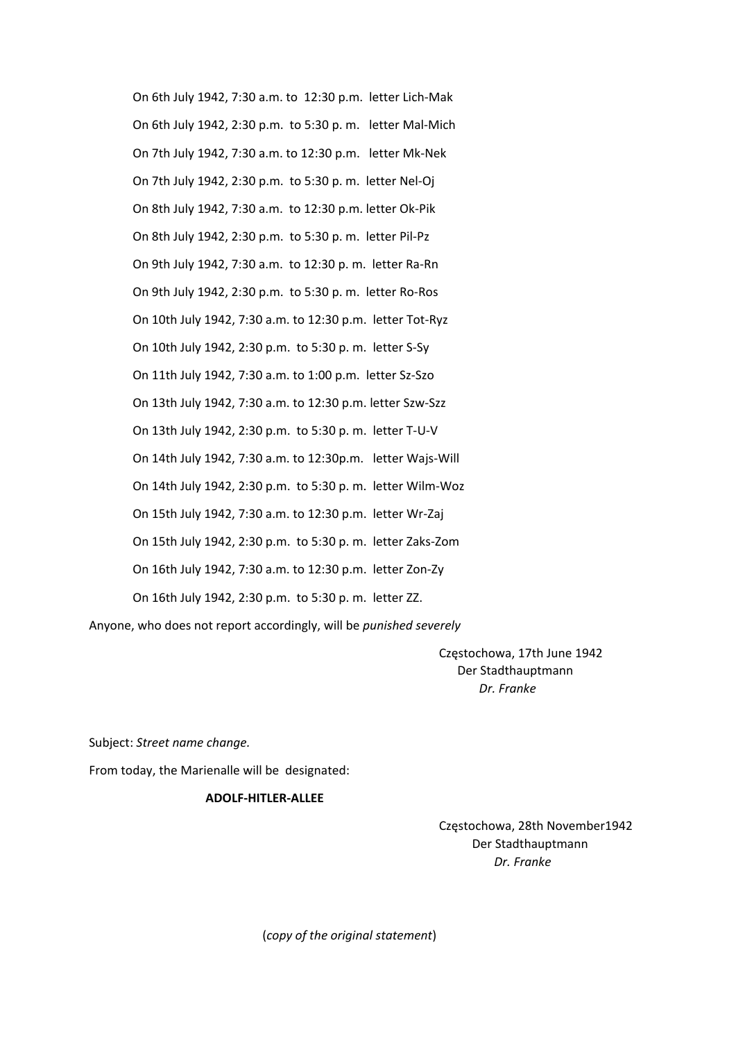On 6th July 1942, 7:30 a.m. to 12:30 p.m. letter Lich‐Mak On 6th July 1942, 2:30 p.m. to 5:30 p. m. letter Mal‐Mich On 7th July 1942, 7:30 a.m. to 12:30 p.m. letter Mk‐Nek On 7th July 1942, 2:30 p.m. to 5:30 p. m. letter Nel‐Oj On 8th July 1942, 7:30 a.m. to 12:30 p.m. letter Ok‐Pik On 8th July 1942, 2:30 p.m. to 5:30 p. m. letter Pil‐Pz On 9th July 1942, 7:30 a.m. to 12:30 p. m. letter Ra‐Rn On 9th July 1942, 2:30 p.m. to 5:30 p. m. letter Ro‐Ros On 10th July 1942, 7:30 a.m. to 12:30 p.m. letter Tot‐Ryz On 10th July 1942, 2:30 p.m. to 5:30 p. m. letter S‐Sy On 11th July 1942, 7:30 a.m. to 1:00 p.m. letter Sz‐Szo On 13th July 1942, 7:30 a.m. to 12:30 p.m. letter Szw‐Szz On 13th July 1942, 2:30 p.m. to 5:30 p. m. letter T‐U‐V On 14th July 1942, 7:30 a.m. to 12:30p.m. letter Wajs‐Will On 14th July 1942, 2:30 p.m. to 5:30 p. m. letter Wilm‐Woz On 15th July 1942, 7:30 a.m. to 12:30 p.m. letter Wr‐Zaj On 15th July 1942, 2:30 p.m. to 5:30 p. m. letter Zaks‐Zom On 16th July 1942, 7:30 a.m. to 12:30 p.m. letter Zon‐Zy On 16th July 1942, 2:30 p.m. to 5:30 p. m. letter ZZ.

Anyone, who does not report accordingly, will be *punished severely*

 Częstochowa, 17th June 1942 Der Stadthauptmann *Dr. Franke* 

Subject: *Street name change.*

From today, the Marienalle will be designated:

#### **ADOLF‐HITLER‐ALLEE**

 Częstochowa, 28th November1942 Der Stadthauptmann  *Dr. Franke*

(*copy of the original statement*)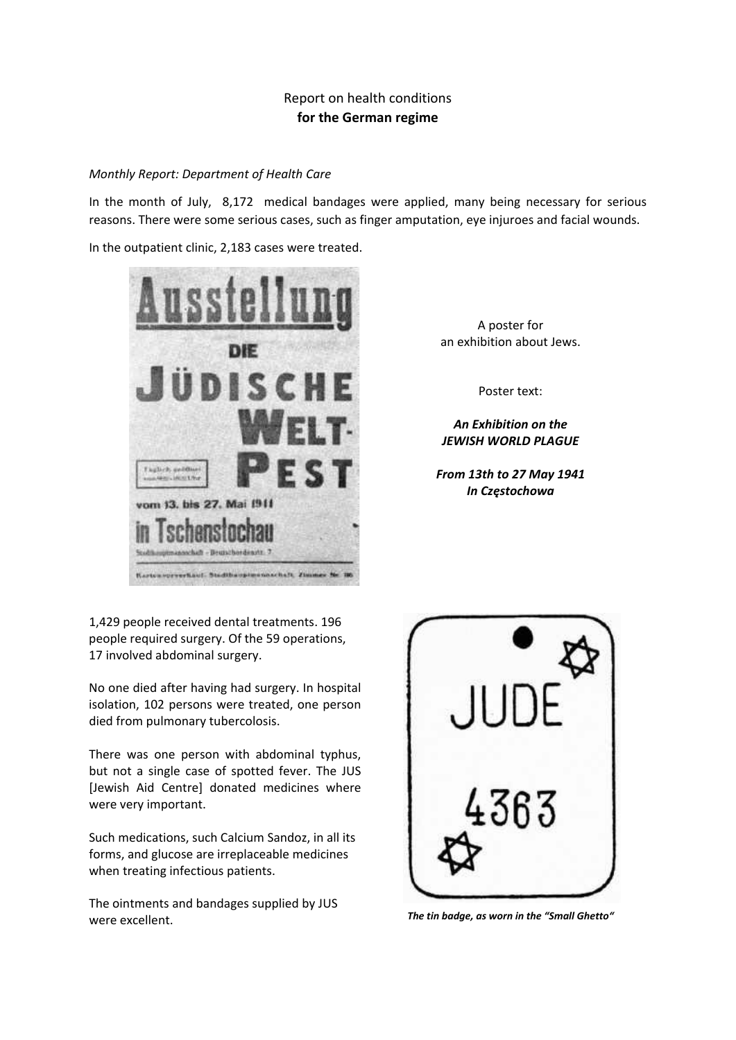# Report on health conditions **for the German regime**

#### *Monthly Report: Department of Health Care*

In the month of July, 8,172 medical bandages were applied, many being necessary for serious reasons. There were some serious cases, such as finger amputation, eye injuroes and facial wounds.

In the outpatient clinic, 2,183 cases were treated.



1,429 people received dental treatments. 196 people required surgery. Of the 59 operations, 17 involved abdominal surgery.

No one died after having had surgery. In hospital isolation, 102 persons were treated, one person died from pulmonary tubercolosis.

There was one person with abdominal typhus, but not a single case of spotted fever. The JUS [Jewish Aid Centre] donated medicines where were very important.

Such medications, such Calcium Sandoz, in all its forms, and glucose are irreplaceable medicines when treating infectious patients.

The ointments and bandages supplied by JUS were excellent. *The tin badge, as worn in the "Small Ghetto"*

A poster for an exhibition about Jews.

Poster text:

*An Exhibition on the JEWISH WORLD PLAGUE*

*From 13th to 27 May 1941 In Częstochowa*